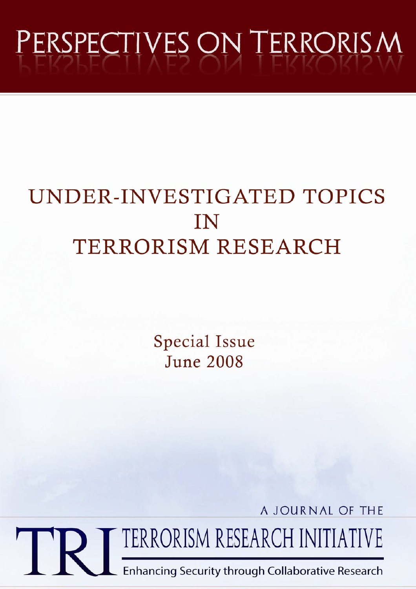# PERSPECTIVES ON TERRORISM

# UNDER-INVESTIGATED TOPICS IN TERRORISM RESEARCH

**Special Issue June 2008** 

A JOURNAL OF THE

TERRORISM RESEARCH INITIATIVE

**Enhancing Security through Collaborative Research**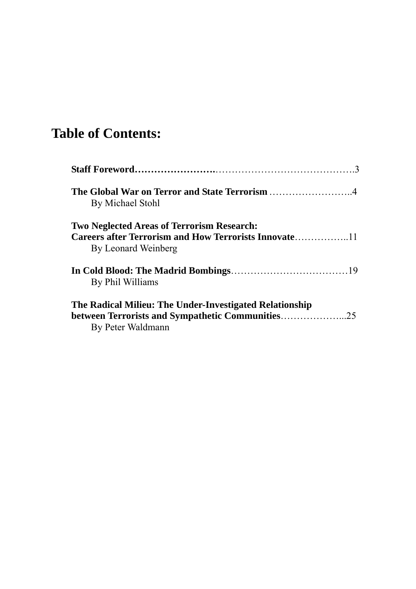## **Table of Contents:**

| By Michael Stohl                                                                                                                 |  |
|----------------------------------------------------------------------------------------------------------------------------------|--|
| <b>Two Neglected Areas of Terrorism Research:</b><br>By Leonard Weinberg                                                         |  |
| By Phil Williams                                                                                                                 |  |
| The Radical Milieu: The Under-Investigated Relationship<br>between Terrorists and Sympathetic Communities25<br>By Peter Waldmann |  |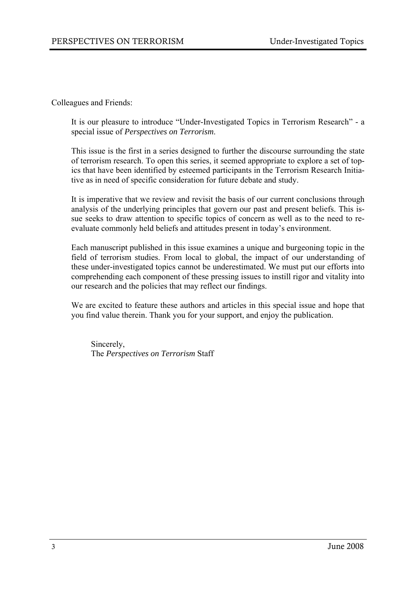Colleagues and Friends:

It is our pleasure to introduce "Under-Investigated Topics in Terrorism Research" - a special issue of *Perspectives on Terrorism*.

This issue is the first in a series designed to further the discourse surrounding the state of terrorism research. To open this series, it seemed appropriate to explore a set of topics that have been identified by esteemed participants in the Terrorism Research Initiative as in need of specific consideration for future debate and study.

It is imperative that we review and revisit the basis of our current conclusions through analysis of the underlying principles that govern our past and present beliefs. This issue seeks to draw attention to specific topics of concern as well as to the need to reevaluate commonly held beliefs and attitudes present in today's environment.

Each manuscript published in this issue examines a unique and burgeoning topic in the field of terrorism studies. From local to global, the impact of our understanding of these under-investigated topics cannot be underestimated. We must put our efforts into comprehending each component of these pressing issues to instill rigor and vitality into our research and the policies that may reflect our findings.

We are excited to feature these authors and articles in this special issue and hope that you find value therein. Thank you for your support, and enjoy the publication.

Sincerely, The *Perspectives on Terrorism* Staff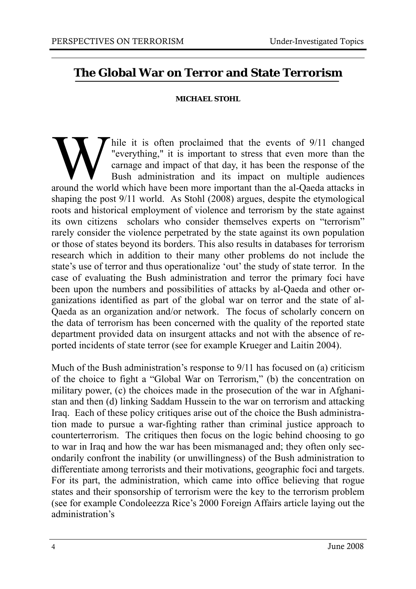#### **The Global War on Terror and State Terrorism**

#### **MICHAEL STOHL**

W hile it is often proclaimed that the events of 9/11 changed<br>"everything," it is important to stress that even more than the<br>carnage and impact of that day, it has been the response of the<br>Bush administration and its impa "everything," it is important to stress that even more than the carnage and impact of that day, it has been the response of the Bush administration and its impact on multiple audiences around the world which have been more important than the al-Qaeda attacks in shaping the post 9/11 world. As Stohl (2008) argues, despite the etymological roots and historical employment of violence and terrorism by the state against its own citizens scholars who consider themselves experts on "terrorism" rarely consider the violence perpetrated by the state against its own population or those of states beyond its borders. This also results in databases for terrorism research which in addition to their many other problems do not include the state's use of terror and thus operationalize 'out' the study of state terror. In the case of evaluating the Bush administration and terror the primary foci have been upon the numbers and possibilities of attacks by al-Qaeda and other organizations identified as part of the global war on terror and the state of al-Qaeda as an organization and/or network. The focus of scholarly concern on the data of terrorism has been concerned with the quality of the reported state department provided data on insurgent attacks and not with the absence of reported incidents of state terror (see for example Krueger and Laitin 2004).

Much of the Bush administration's response to 9/11 has focused on (a) criticism of the choice to fight a "Global War on Terrorism," (b) the concentration on military power, (c) the choices made in the prosecution of the war in Afghanistan and then (d) linking Saddam Hussein to the war on terrorism and attacking Iraq. Each of these policy critiques arise out of the choice the Bush administration made to pursue a war-fighting rather than criminal justice approach to counterterrorism. The critiques then focus on the logic behind choosing to go to war in Iraq and how the war has been mismanaged and; they often only secondarily confront the inability (or unwillingness) of the Bush administration to differentiate among terrorists and their motivations, geographic foci and targets. For its part, the administration, which came into office believing that rogue states and their sponsorship of terrorism were the key to the terrorism problem (see for example Condoleezza Rice's 2000 Foreign Affairs article laying out the administration's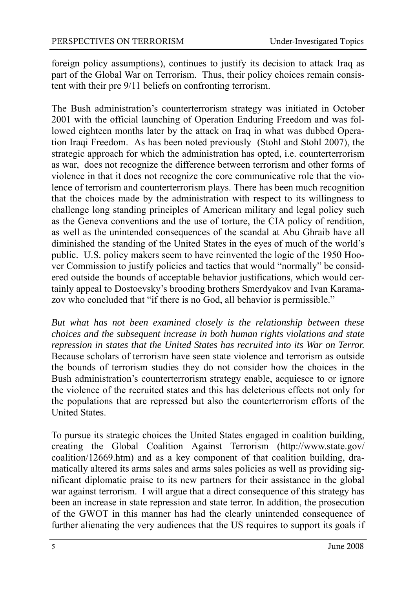foreign policy assumptions), continues to justify its decision to attack Iraq as part of the Global War on Terrorism. Thus, their policy choices remain consistent with their pre 9/11 beliefs on confronting terrorism.

The Bush administration's counterterrorism strategy was initiated in October 2001 with the official launching of Operation Enduring Freedom and was followed eighteen months later by the attack on Iraq in what was dubbed Operation Iraqi Freedom. As has been noted previously (Stohl and Stohl 2007), the strategic approach for which the administration has opted, i.e. counterterrorism as war, does not recognize the difference between terrorism and other forms of violence in that it does not recognize the core communicative role that the violence of terrorism and counterterrorism plays. There has been much recognition that the choices made by the administration with respect to its willingness to challenge long standing principles of American military and legal policy such as the Geneva conventions and the use of torture, the CIA policy of rendition, as well as the unintended consequences of the scandal at Abu Ghraib have all diminished the standing of the United States in the eyes of much of the world's public. U.S. policy makers seem to have reinvented the logic of the 1950 Hoover Commission to justify policies and tactics that would "normally" be considered outside the bounds of acceptable behavior justifications, which would certainly appeal to Dostoevsky's brooding brothers Smerdyakov and Ivan Karamazov who concluded that "if there is no God, all behavior is permissible."

*But what has not been examined closely is the relationship between these choices and the subsequent increase in both human rights violations and state repression in states that the United States has recruited into its War on Terror.* Because scholars of terrorism have seen state violence and terrorism as outside the bounds of terrorism studies they do not consider how the choices in the Bush administration's counterterrorism strategy enable, acquiesce to or ignore the violence of the recruited states and this has deleterious effects not only for the populations that are repressed but also the counterterrorism efforts of the United States.

To pursue its strategic choices the United States engaged in coalition building, creating the Global Coalition Against Terrorism (http://www.state.gov/ coalition/12669.htm) and as a key component of that coalition building, dramatically altered its arms sales and arms sales policies as well as providing significant diplomatic praise to its new partners for their assistance in the global war against terrorism. I will argue that a direct consequence of this strategy has been an increase in state repression and state terror. In addition, the prosecution of the GWOT in this manner has had the clearly unintended consequence of further alienating the very audiences that the US requires to support its goals if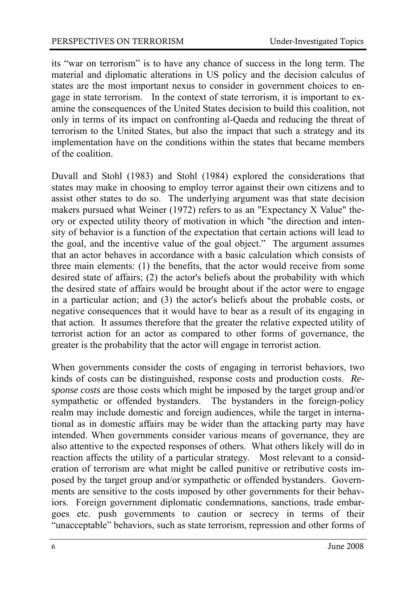its "war on terrorism" is to have any chance of success in the long term. The material and diplomatic alterations in US policy and the decision calculus of states are the most important nexus to consider in government choices to engage in state terrorism. In the context of state terrorism, it is important to examine the consequences of the United States decision to build this coalition, not only in terms of its impact on confronting al-Qaeda and reducing the threat of terrorism to the United States, but also the impact that such a strategy and its implementation have on the conditions within the states that became members of the coalition.

Duvall and Stohl (1983) and Stohl (1984) explored the considerations that states may make in choosing to employ terror against their own citizens and to assist other states to do so. The underlying argument was that state decision makers pursued what Weiner (1972) refers to as an "Expectancy X Value" theory or expected utility theory of motivation in which "the direction and intensity of behavior is a function of the expectation that certain actions will lead to the goal, and the incentive value of the goal object." The argument assumes that an actor behaves in accordance with a basic calculation which consists of three main elements: (1) the benefits, that the actor would receive from some desired state of affairs; (2) the actor's beliefs about the probability with which the desired state of affairs would be brought about if the actor were to engage in a particular action; and (3) the actor's beliefs about the probable costs, or negative consequences that it would have to bear as a result of its engaging in that action. It assumes therefore that the greater the relative expected utility of terrorist action for an actor as compared to other forms of governance, the greater is the probability that the actor will engage in terrorist action.

When governments consider the costs of engaging in terrorist behaviors, two kinds of costs can be distinguished, response costs and production costs. *Response costs* are those costs which might be imposed by the target group and/or sympathetic or offended bystanders. The bystanders in the foreign-policy realm may include domestic and foreign audiences, while the target in international as in domestic affairs may be wider than the attacking party may have intended. When governments consider various means of governance, they are also attentive to the expected responses of others. What others likely will do in reaction affects the utility of a particular strategy. Most relevant to a consideration of terrorism are what might be called punitive or retributive costs imposed by the target group and/or sympathetic or offended bystanders. Governments are sensitive to the costs imposed by other governments for their behaviors. Foreign government diplomatic condemnations, sanctions, trade embargoes etc. push governments to caution or secrecy in terms of their "unacceptable" behaviors, such as state terrorism, repression and other forms of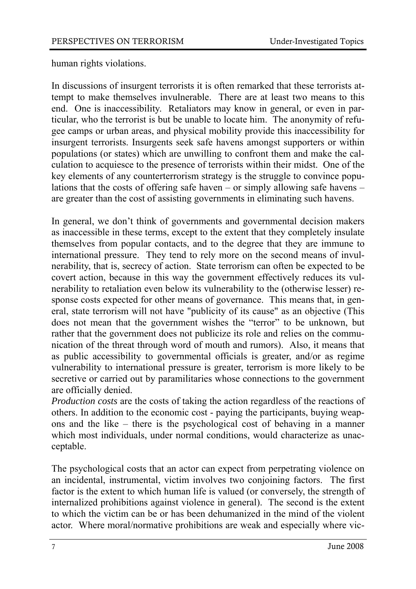human rights violations.

In discussions of insurgent terrorists it is often remarked that these terrorists attempt to make themselves invulnerable. There are at least two means to this end. One is inaccessibility. Retaliators may know in general, or even in particular, who the terrorist is but be unable to locate him. The anonymity of refugee camps or urban areas, and physical mobility provide this inaccessibility for insurgent terrorists. Insurgents seek safe havens amongst supporters or within populations (or states) which are unwilling to confront them and make the calculation to acquiesce to the presence of terrorists within their midst. One of the key elements of any counterterrorism strategy is the struggle to convince populations that the costs of offering safe haven – or simply allowing safe havens – are greater than the cost of assisting governments in eliminating such havens.

In general, we don't think of governments and governmental decision makers as inaccessible in these terms, except to the extent that they completely insulate themselves from popular contacts, and to the degree that they are immune to international pressure. They tend to rely more on the second means of invulnerability, that is, secrecy of action. State terrorism can often be expected to be covert action, because in this way the government effectively reduces its vulnerability to retaliation even below its vulnerability to the (otherwise lesser) response costs expected for other means of governance. This means that, in general, state terrorism will not have "publicity of its cause" as an objective (This does not mean that the government wishes the "terror" to be unknown, but rather that the government does not publicize its role and relies on the communication of the threat through word of mouth and rumors). Also, it means that as public accessibility to governmental officials is greater, and/or as regime vulnerability to international pressure is greater, terrorism is more likely to be secretive or carried out by paramilitaries whose connections to the government are officially denied.

*Production costs* are the costs of taking the action regardless of the reactions of others. In addition to the economic cost - paying the participants, buying weapons and the like – there is the psychological cost of behaving in a manner which most individuals, under normal conditions, would characterize as unacceptable.

The psychological costs that an actor can expect from perpetrating violence on an incidental, instrumental, victim involves two conjoining factors. The first factor is the extent to which human life is valued (or conversely, the strength of internalized prohibitions against violence in general). The second is the extent to which the victim can be or has been dehumanized in the mind of the violent actor. Where moral/normative prohibitions are weak and especially where vic-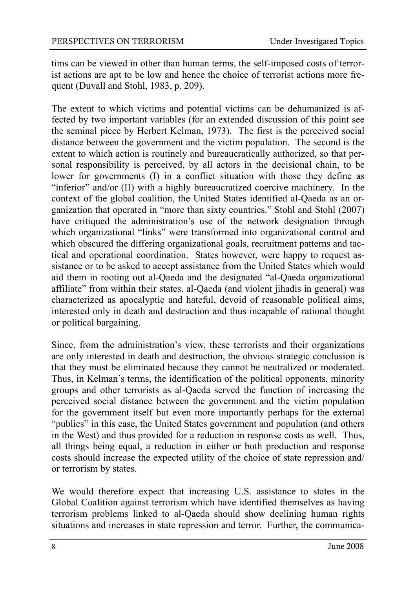tims can be viewed in other than human terms, the self-imposed costs of terrorist actions are apt to be low and hence the choice of terrorist actions more frequent (Duvall and Stohl, 1983, p. 209).

The extent to which victims and potential victims can be dehumanized is affected by two important variables (for an extended discussion of this point see the seminal piece by Herbert Kelman, 1973). The first is the perceived social distance between the government and the victim population. The second is the extent to which action is routinely and bureaucratically authorized, so that personal responsibility is perceived, by all actors in the decisional chain, to be lower for governments (I) in a conflict situation with those they define as "inferior" and/or (II) with a highly bureaucratized coercive machinery. In the context of the global coalition, the United States identified al-Qaeda as an organization that operated in "more than sixty countries." Stohl and Stohl (2007) have critiqued the administration's use of the network designation through which organizational "links" were transformed into organizational control and which obscured the differing organizational goals, recruitment patterns and tactical and operational coordination. States however, were happy to request assistance or to be asked to accept assistance from the United States which would aid them in rooting out al-Qaeda and the designated "al-Qaeda organizational affiliate" from within their states. al-Qaeda (and violent jihadis in general) was characterized as apocalyptic and hateful, devoid of reasonable political aims, interested only in death and destruction and thus incapable of rational thought or political bargaining.

Since, from the administration's view, these terrorists and their organizations are only interested in death and destruction, the obvious strategic conclusion is that they must be eliminated because they cannot be neutralized or moderated. Thus, in Kelman's terms, the identification of the political opponents, minority groups and other terrorists as al-Qaeda served the function of increasing the perceived social distance between the government and the victim population for the government itself but even more importantly perhaps for the external "publics" in this case, the United States government and population (and others in the West) and thus provided for a reduction in response costs as well. Thus, all things being equal, a reduction in either or both production and response costs should increase the expected utility of the choice of state repression and/ or terrorism by states.

We would therefore expect that increasing U.S. assistance to states in the Global Coalition against terrorism which have identified themselves as having terrorism problems linked to al-Qaeda should show declining human rights situations and increases in state repression and terror. Further, the communica-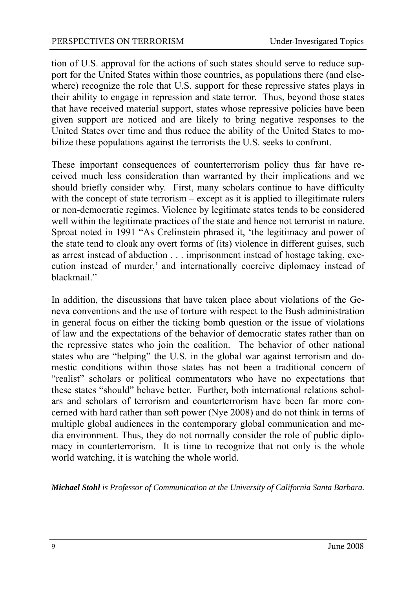tion of U.S. approval for the actions of such states should serve to reduce support for the United States within those countries, as populations there (and elsewhere) recognize the role that U.S. support for these repressive states plays in their ability to engage in repression and state terror. Thus, beyond those states that have received material support, states whose repressive policies have been given support are noticed and are likely to bring negative responses to the United States over time and thus reduce the ability of the United States to mobilize these populations against the terrorists the U.S. seeks to confront.

These important consequences of counterterrorism policy thus far have received much less consideration than warranted by their implications and we should briefly consider why. First, many scholars continue to have difficulty with the concept of state terrorism – except as it is applied to illegitimate rulers or non-democratic regimes. Violence by legitimate states tends to be considered well within the legitimate practices of the state and hence not terrorist in nature. Sproat noted in 1991 "As Crelinstein phrased it, 'the legitimacy and power of the state tend to cloak any overt forms of (its) violence in different guises, such as arrest instead of abduction . . . imprisonment instead of hostage taking, execution instead of murder,' and internationally coercive diplomacy instead of blackmail."

In addition, the discussions that have taken place about violations of the Geneva conventions and the use of torture with respect to the Bush administration in general focus on either the ticking bomb question or the issue of violations of law and the expectations of the behavior of democratic states rather than on the repressive states who join the coalition. The behavior of other national states who are "helping" the U.S. in the global war against terrorism and domestic conditions within those states has not been a traditional concern of "realist" scholars or political commentators who have no expectations that these states "should" behave better. Further, both international relations scholars and scholars of terrorism and counterterrorism have been far more concerned with hard rather than soft power (Nye 2008) and do not think in terms of multiple global audiences in the contemporary global communication and media environment. Thus, they do not normally consider the role of public diplomacy in counterterrorism. It is time to recognize that not only is the whole world watching, it is watching the whole world.

*Michael Stohl is Professor of Communication at the University of California Santa Barbara.*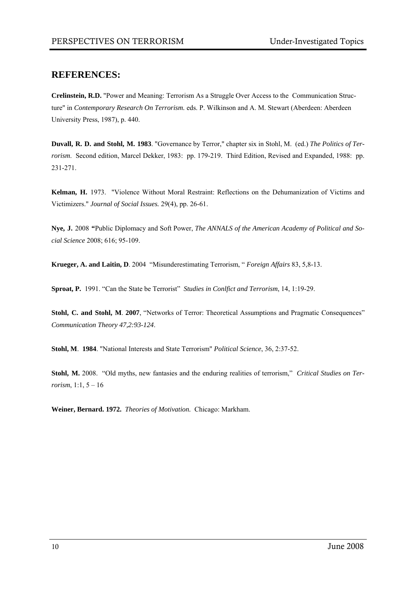#### **REFERENCES:**

**Crelinstein, R.D.** "Power and Meaning: Terrorism As a Struggle Over Access to the Communication Structure" in *Contemporary Research On Terrorism.* eds. P. Wilkinson and A. M. Stewart (Aberdeen: Aberdeen University Press, 1987), p. 440.

**Duvall, R. D. and Stohl, M. 1983**. "Governance by Terror," chapter six in Stohl, M. (ed.) *The Politics of Terrorism*. Second edition, Marcel Dekker, 1983: pp. 179-219. Third Edition, Revised and Expanded, 1988: pp. 231-271.

**Kelman, H.** 1973. "Violence Without Moral Restraint: Reflections on the Dehumanization of Victims and Victimizers." *Journal of Social Issues.* 29(4), pp. 26-61.

**Nye, J.** 2008 **"**Public Diplomacy and Soft Power, *The ANNALS of the American Academy of Political and Social Science* 2008; 616; 95-109.

**Krueger, A. and Laitin, D**. 2004 "Misunderestimating Terrorism, " *Foreign Affairs* 83, 5,8-13.

**Sproat, P.** 1991. "Can the State be Terrorist" *Studies in Conlfict and Terrorism*, 14, 1:19-29.

**Stohl, C. and Stohl, M**. **2007**, "Networks of Terror: Theoretical Assumptions and Pragmatic Consequences" *Communication Theory 47,2:93-124*.

**Stohl, M**. **1984**. "National Interests and State Terrorism" *Political Science*, 36, 2:37-52.

**Stohl, M.** 2008. "Old myths, new fantasies and the enduring realities of terrorism," *Critical Studies on Terrorism*, 1:1, 5 – 16

**Weiner, Bernard. 1972.** *Theories of Motivation.* Chicago: Markham.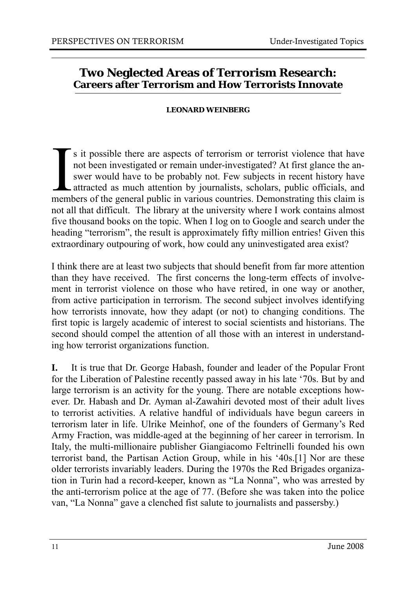#### **Two Neglected Areas of Terrorism Research: Careers after Terrorism and How Terrorists Innovate**

#### **LEONARD WEINBERG**

I s it possible there are aspects of terrorism or terrorist violence that have not been investigated or remain under-investigated? At first glance the answer would have to be probably not. Few subjects in recent history ha not been investigated or remain under-investigated? At first glance the answer would have to be probably not. Few subjects in recent history have attracted as much attention by journalists, scholars, public officials, and members of the general public in various countries. Demonstrating this claim is not all that difficult. The library at the university where I work contains almost five thousand books on the topic. When I log on to Google and search under the heading "terrorism", the result is approximately fifty million entries! Given this extraordinary outpouring of work, how could any uninvestigated area exist?

I think there are at least two subjects that should benefit from far more attention than they have received. The first concerns the long-term effects of involvement in terrorist violence on those who have retired, in one way or another, from active participation in terrorism. The second subject involves identifying how terrorists innovate, how they adapt (or not) to changing conditions. The first topic is largely academic of interest to social scientists and historians. The second should compel the attention of all those with an interest in understanding how terrorist organizations function.

**I.** It is true that Dr. George Habash, founder and leader of the Popular Front for the Liberation of Palestine recently passed away in his late '70s. But by and large terrorism is an activity for the young. There are notable exceptions however. Dr. Habash and Dr. Ayman al-Zawahiri devoted most of their adult lives to terrorist activities. A relative handful of individuals have begun careers in terrorism later in life. Ulrike Meinhof, one of the founders of Germany's Red Army Fraction, was middle-aged at the beginning of her career in terrorism. In Italy, the multi-millionaire publisher Giangiacomo Feltrinelli founded his own terrorist band, the Partisan Action Group, while in his '40s.[1] Nor are these older terrorists invariably leaders. During the 1970s the Red Brigades organization in Turin had a record-keeper, known as "La Nonna", who was arrested by the anti-terrorism police at the age of 77. (Before she was taken into the police van, "La Nonna" gave a clenched fist salute to journalists and passersby.)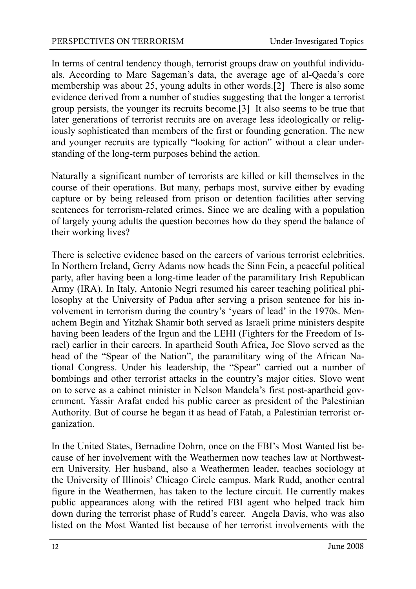In terms of central tendency though, terrorist groups draw on youthful individuals. According to Marc Sageman's data, the average age of al-Qaeda's core membership was about 25, young adults in other words.[2] There is also some evidence derived from a number of studies suggesting that the longer a terrorist group persists, the younger its recruits become.[3] It also seems to be true that later generations of terrorist recruits are on average less ideologically or religiously sophisticated than members of the first or founding generation. The new and younger recruits are typically "looking for action" without a clear understanding of the long-term purposes behind the action.

Naturally a significant number of terrorists are killed or kill themselves in the course of their operations. But many, perhaps most, survive either by evading capture or by being released from prison or detention facilities after serving sentences for terrorism-related crimes. Since we are dealing with a population of largely young adults the question becomes how do they spend the balance of their working lives?

There is selective evidence based on the careers of various terrorist celebrities. In Northern Ireland, Gerry Adams now heads the Sinn Fein, a peaceful political party, after having been a long-time leader of the paramilitary Irish Republican Army (IRA). In Italy, Antonio Negri resumed his career teaching political philosophy at the University of Padua after serving a prison sentence for his involvement in terrorism during the country's 'years of lead' in the 1970s. Menachem Begin and Yitzhak Shamir both served as Israeli prime ministers despite having been leaders of the Irgun and the LEHI (Fighters for the Freedom of Israel) earlier in their careers. In apartheid South Africa, Joe Slovo served as the head of the "Spear of the Nation", the paramilitary wing of the African National Congress. Under his leadership, the "Spear" carried out a number of bombings and other terrorist attacks in the country's major cities. Slovo went on to serve as a cabinet minister in Nelson Mandela's first post-apartheid government. Yassir Arafat ended his public career as president of the Palestinian Authority. But of course he began it as head of Fatah, a Palestinian terrorist organization.

In the United States, Bernadine Dohrn, once on the FBI's Most Wanted list because of her involvement with the Weathermen now teaches law at Northwestern University. Her husband, also a Weathermen leader, teaches sociology at the University of Illinois' Chicago Circle campus. Mark Rudd, another central figure in the Weathermen, has taken to the lecture circuit. He currently makes public appearances along with the retired FBI agent who helped track him down during the terrorist phase of Rudd's career. Angela Davis, who was also listed on the Most Wanted list because of her terrorist involvements with the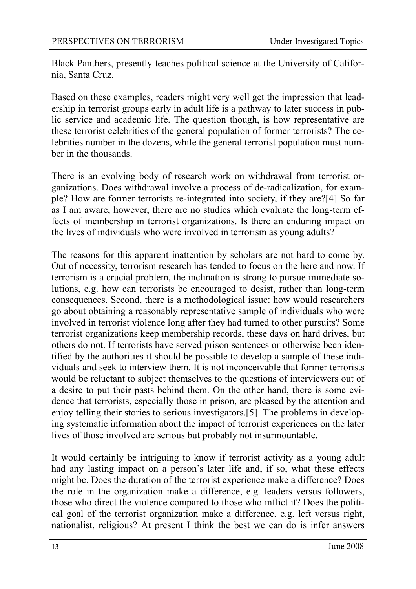Black Panthers, presently teaches political science at the University of California, Santa Cruz.

Based on these examples, readers might very well get the impression that leadership in terrorist groups early in adult life is a pathway to later success in public service and academic life. The question though, is how representative are these terrorist celebrities of the general population of former terrorists? The celebrities number in the dozens, while the general terrorist population must number in the thousands.

There is an evolving body of research work on withdrawal from terrorist organizations. Does withdrawal involve a process of de-radicalization, for example? How are former terrorists re-integrated into society, if they are?[4] So far as I am aware, however, there are no studies which evaluate the long-term effects of membership in terrorist organizations. Is there an enduring impact on the lives of individuals who were involved in terrorism as young adults?

The reasons for this apparent inattention by scholars are not hard to come by. Out of necessity, terrorism research has tended to focus on the here and now. If terrorism is a crucial problem, the inclination is strong to pursue immediate solutions, e.g. how can terrorists be encouraged to desist, rather than long-term consequences. Second, there is a methodological issue: how would researchers go about obtaining a reasonably representative sample of individuals who were involved in terrorist violence long after they had turned to other pursuits? Some terrorist organizations keep membership records, these days on hard drives, but others do not. If terrorists have served prison sentences or otherwise been identified by the authorities it should be possible to develop a sample of these individuals and seek to interview them. It is not inconceivable that former terrorists would be reluctant to subject themselves to the questions of interviewers out of a desire to put their pasts behind them. On the other hand, there is some evidence that terrorists, especially those in prison, are pleased by the attention and enjoy telling their stories to serious investigators.[5] The problems in developing systematic information about the impact of terrorist experiences on the later lives of those involved are serious but probably not insurmountable.

It would certainly be intriguing to know if terrorist activity as a young adult had any lasting impact on a person's later life and, if so, what these effects might be. Does the duration of the terrorist experience make a difference? Does the role in the organization make a difference, e.g. leaders versus followers, those who direct the violence compared to those who inflict it? Does the political goal of the terrorist organization make a difference, e.g. left versus right, nationalist, religious? At present I think the best we can do is infer answers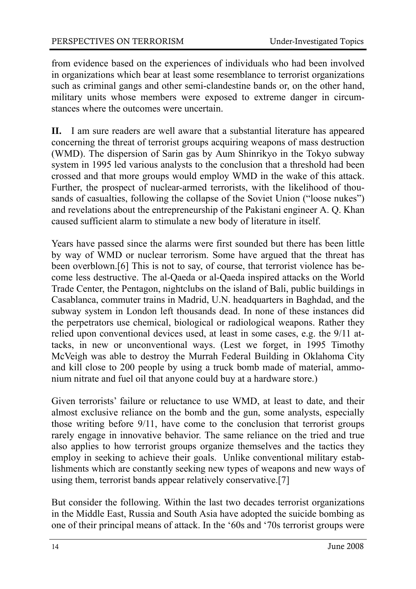from evidence based on the experiences of individuals who had been involved in organizations which bear at least some resemblance to terrorist organizations such as criminal gangs and other semi-clandestine bands or, on the other hand, military units whose members were exposed to extreme danger in circumstances where the outcomes were uncertain.

**II.** I am sure readers are well aware that a substantial literature has appeared concerning the threat of terrorist groups acquiring weapons of mass destruction (WMD). The dispersion of Sarin gas by Aum Shinrikyo in the Tokyo subway system in 1995 led various analysts to the conclusion that a threshold had been crossed and that more groups would employ WMD in the wake of this attack. Further, the prospect of nuclear-armed terrorists, with the likelihood of thousands of casualties, following the collapse of the Soviet Union ("loose nukes") and revelations about the entrepreneurship of the Pakistani engineer A. Q. Khan caused sufficient alarm to stimulate a new body of literature in itself.

Years have passed since the alarms were first sounded but there has been little by way of WMD or nuclear terrorism. Some have argued that the threat has been overblown.[6] This is not to say, of course, that terrorist violence has become less destructive. The al-Qaeda or al-Qaeda inspired attacks on the World Trade Center, the Pentagon, nightclubs on the island of Bali, public buildings in Casablanca, commuter trains in Madrid, U.N. headquarters in Baghdad, and the subway system in London left thousands dead. In none of these instances did the perpetrators use chemical, biological or radiological weapons. Rather they relied upon conventional devices used, at least in some cases, e.g. the 9/11 attacks, in new or unconventional ways. (Lest we forget, in 1995 Timothy McVeigh was able to destroy the Murrah Federal Building in Oklahoma City and kill close to 200 people by using a truck bomb made of material, ammonium nitrate and fuel oil that anyone could buy at a hardware store.)

Given terrorists' failure or reluctance to use WMD, at least to date, and their almost exclusive reliance on the bomb and the gun, some analysts, especially those writing before 9/11, have come to the conclusion that terrorist groups rarely engage in innovative behavior. The same reliance on the tried and true also applies to how terrorist groups organize themselves and the tactics they employ in seeking to achieve their goals. Unlike conventional military establishments which are constantly seeking new types of weapons and new ways of using them, terrorist bands appear relatively conservative.[7]

But consider the following. Within the last two decades terrorist organizations in the Middle East, Russia and South Asia have adopted the suicide bombing as one of their principal means of attack. In the '60s and '70s terrorist groups were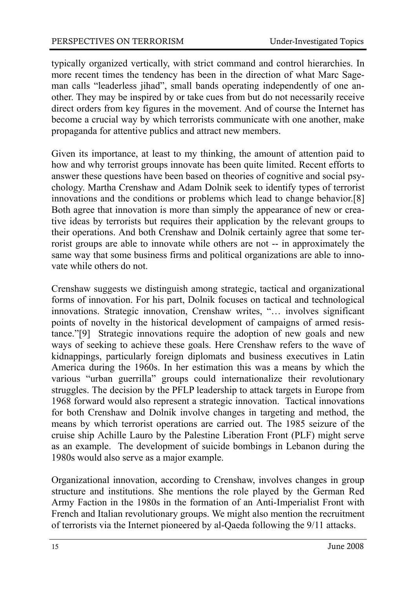typically organized vertically, with strict command and control hierarchies. In more recent times the tendency has been in the direction of what Marc Sageman calls "leaderless jihad", small bands operating independently of one another. They may be inspired by or take cues from but do not necessarily receive direct orders from key figures in the movement. And of course the Internet has become a crucial way by which terrorists communicate with one another, make propaganda for attentive publics and attract new members.

Given its importance, at least to my thinking, the amount of attention paid to how and why terrorist groups innovate has been quite limited. Recent efforts to answer these questions have been based on theories of cognitive and social psychology. Martha Crenshaw and Adam Dolnik seek to identify types of terrorist innovations and the conditions or problems which lead to change behavior.[8] Both agree that innovation is more than simply the appearance of new or creative ideas by terrorists but requires their application by the relevant groups to their operations. And both Crenshaw and Dolnik certainly agree that some terrorist groups are able to innovate while others are not -- in approximately the same way that some business firms and political organizations are able to innovate while others do not.

Crenshaw suggests we distinguish among strategic, tactical and organizational forms of innovation. For his part, Dolnik focuses on tactical and technological innovations. Strategic innovation, Crenshaw writes, "… involves significant points of novelty in the historical development of campaigns of armed resistance."[9] Strategic innovations require the adoption of new goals and new ways of seeking to achieve these goals. Here Crenshaw refers to the wave of kidnappings, particularly foreign diplomats and business executives in Latin America during the 1960s. In her estimation this was a means by which the various "urban guerrilla" groups could internationalize their revolutionary struggles. The decision by the PFLP leadership to attack targets in Europe from 1968 forward would also represent a strategic innovation. Tactical innovations for both Crenshaw and Dolnik involve changes in targeting and method, the means by which terrorist operations are carried out. The 1985 seizure of the cruise ship Achille Lauro by the Palestine Liberation Front (PLF) might serve as an example. The development of suicide bombings in Lebanon during the 1980s would also serve as a major example.

Organizational innovation, according to Crenshaw, involves changes in group structure and institutions. She mentions the role played by the German Red Army Faction in the 1980s in the formation of an Anti-Imperialist Front with French and Italian revolutionary groups. We might also mention the recruitment of terrorists via the Internet pioneered by al-Qaeda following the 9/11 attacks.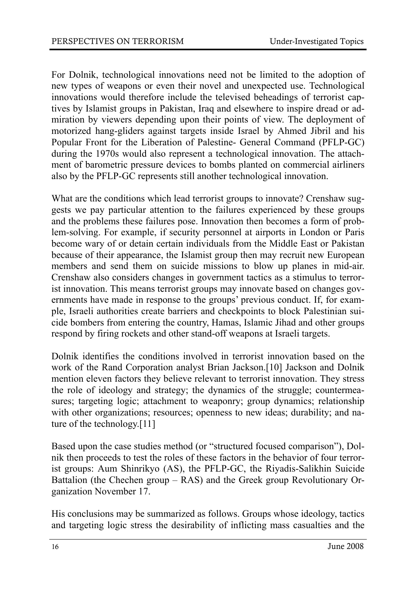For Dolnik, technological innovations need not be limited to the adoption of new types of weapons or even their novel and unexpected use. Technological innovations would therefore include the televised beheadings of terrorist captives by Islamist groups in Pakistan, Iraq and elsewhere to inspire dread or admiration by viewers depending upon their points of view. The deployment of motorized hang-gliders against targets inside Israel by Ahmed Jibril and his Popular Front for the Liberation of Palestine- General Command (PFLP-GC) during the 1970s would also represent a technological innovation. The attachment of barometric pressure devices to bombs planted on commercial airliners also by the PFLP-GC represents still another technological innovation.

What are the conditions which lead terrorist groups to innovate? Crenshaw suggests we pay particular attention to the failures experienced by these groups and the problems these failures pose. Innovation then becomes a form of problem-solving. For example, if security personnel at airports in London or Paris become wary of or detain certain individuals from the Middle East or Pakistan because of their appearance, the Islamist group then may recruit new European members and send them on suicide missions to blow up planes in mid-air. Crenshaw also considers changes in government tactics as a stimulus to terrorist innovation. This means terrorist groups may innovate based on changes governments have made in response to the groups' previous conduct. If, for example, Israeli authorities create barriers and checkpoints to block Palestinian suicide bombers from entering the country, Hamas, Islamic Jihad and other groups respond by firing rockets and other stand-off weapons at Israeli targets.

Dolnik identifies the conditions involved in terrorist innovation based on the work of the Rand Corporation analyst Brian Jackson.[10] Jackson and Dolnik mention eleven factors they believe relevant to terrorist innovation. They stress the role of ideology and strategy; the dynamics of the struggle; countermeasures; targeting logic; attachment to weaponry; group dynamics; relationship with other organizations; resources; openness to new ideas; durability; and nature of the technology.[11]

Based upon the case studies method (or "structured focused comparison"), Dolnik then proceeds to test the roles of these factors in the behavior of four terrorist groups: Aum Shinrikyo (AS), the PFLP-GC, the Riyadis-Salikhin Suicide Battalion (the Chechen group – RAS) and the Greek group Revolutionary Organization November 17.

His conclusions may be summarized as follows. Groups whose ideology, tactics and targeting logic stress the desirability of inflicting mass casualties and the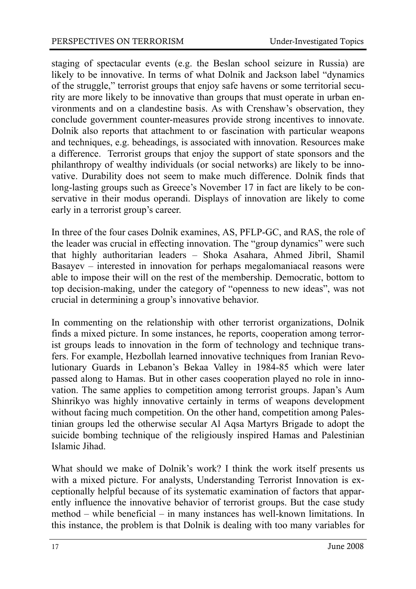staging of spectacular events (e.g. the Beslan school seizure in Russia) are likely to be innovative. In terms of what Dolnik and Jackson label "dynamics of the struggle," terrorist groups that enjoy safe havens or some territorial security are more likely to be innovative than groups that must operate in urban environments and on a clandestine basis. As with Crenshaw's observation, they conclude government counter-measures provide strong incentives to innovate. Dolnik also reports that attachment to or fascination with particular weapons and techniques, e.g. beheadings, is associated with innovation. Resources make a difference. Terrorist groups that enjoy the support of state sponsors and the philanthropy of wealthy individuals (or social networks) are likely to be innovative. Durability does not seem to make much difference. Dolnik finds that long-lasting groups such as Greece's November 17 in fact are likely to be conservative in their modus operandi. Displays of innovation are likely to come early in a terrorist group's career.

In three of the four cases Dolnik examines, AS, PFLP-GC, and RAS, the role of the leader was crucial in effecting innovation. The "group dynamics" were such that highly authoritarian leaders – Shoka Asahara, Ahmed Jibril, Shamil Basayev – interested in innovation for perhaps megalomaniacal reasons were able to impose their will on the rest of the membership. Democratic, bottom to top decision-making, under the category of "openness to new ideas", was not crucial in determining a group's innovative behavior.

In commenting on the relationship with other terrorist organizations, Dolnik finds a mixed picture. In some instances, he reports, cooperation among terrorist groups leads to innovation in the form of technology and technique transfers. For example, Hezbollah learned innovative techniques from Iranian Revolutionary Guards in Lebanon's Bekaa Valley in 1984-85 which were later passed along to Hamas. But in other cases cooperation played no role in innovation. The same applies to competition among terrorist groups. Japan's Aum Shinrikyo was highly innovative certainly in terms of weapons development without facing much competition. On the other hand, competition among Palestinian groups led the otherwise secular Al Aqsa Martyrs Brigade to adopt the suicide bombing technique of the religiously inspired Hamas and Palestinian Islamic Jihad.

What should we make of Dolnik's work? I think the work itself presents us with a mixed picture. For analysts, Understanding Terrorist Innovation is exceptionally helpful because of its systematic examination of factors that apparently influence the innovative behavior of terrorist groups. But the case study method – while beneficial – in many instances has well-known limitations. In this instance, the problem is that Dolnik is dealing with too many variables for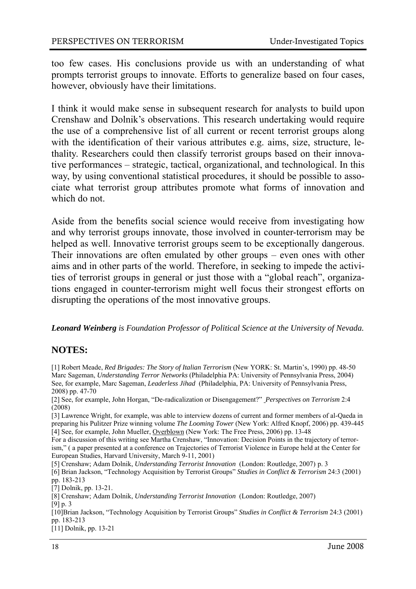too few cases. His conclusions provide us with an understanding of what prompts terrorist groups to innovate. Efforts to generalize based on four cases, however, obviously have their limitations.

I think it would make sense in subsequent research for analysts to build upon Crenshaw and Dolnik's observations. This research undertaking would require the use of a comprehensive list of all current or recent terrorist groups along with the identification of their various attributes e.g. aims, size, structure, lethality. Researchers could then classify terrorist groups based on their innovative performances – strategic, tactical, organizational, and technological. In this way, by using conventional statistical procedures, it should be possible to associate what terrorist group attributes promote what forms of innovation and which do not.

Aside from the benefits social science would receive from investigating how and why terrorist groups innovate, those involved in counter-terrorism may be helped as well. Innovative terrorist groups seem to be exceptionally dangerous. Their innovations are often emulated by other groups – even ones with other aims and in other parts of the world. Therefore, in seeking to impede the activities of terrorist groups in general or just those with a "global reach", organizations engaged in counter-terrorism might well focus their strongest efforts on disrupting the operations of the most innovative groups.

*Leonard Weinberg is Foundation Professor of Political Science at the University of Nevada.* 

#### **NOTES:**

[1] Robert Meade, *Red Brigades: The Story of Italian Terrorism* (New YORK: St. Martin's, 1990) pp. 48-50 Marc Sageman, *Understanding Terror Networks* (Philadelphia PA: University of Pennsylvania Press, 2004) See, for example, Marc Sageman, *Leaderless Jihad* (Philadelphia, PA: University of Pennsylvania Press, 2008) pp. 47-70

[2] See, for example, John Horgan, "De-radicalization or Disengagement?" *Perspectives on Terrorism* 2:4 (2008)

[3] Lawrence Wright, for example, was able to interview dozens of current and former members of al-Qaeda in preparing his Pulitzer Prize winning volume *The Looming Tower* (New York: Alfred Knopf, 2006) pp. 439-445 [4] See, for example, John Mueller, Overblown (New York: The Free Press, 2006) pp. 13-48

For a discussion of this writing see Martha Crenshaw, "Innovation: Decision Points in the trajectory of terrorism," ( a paper presented at a conference on Trajectories of Terrorist Violence in Europe held at the Center for European Studies, Harvard University, March 9-11, 2001)

[5] Crenshaw; Adam Dolnik, *Understanding Terrorist Innovation* (London: Routledge, 2007) p. 3

[6] Brian Jackson, "Technology Acquisition by Terrorist Groups" *Studies in Conflict & Terrorism* 24:3 (2001) pp. 183-213

[11] Dolnik, pp. 13-21

<sup>[7]</sup> Dolnik, pp. 13-21.

<sup>[8]</sup> Crenshaw; Adam Dolnik, *Understanding Terrorist Innovation* (London: Routledge, 2007) [9] p. 3

<sup>[10]</sup>Brian Jackson, "Technology Acquisition by Terrorist Groups" *Studies in Conflict & Terrorism* 24:3 (2001) pp. 183-213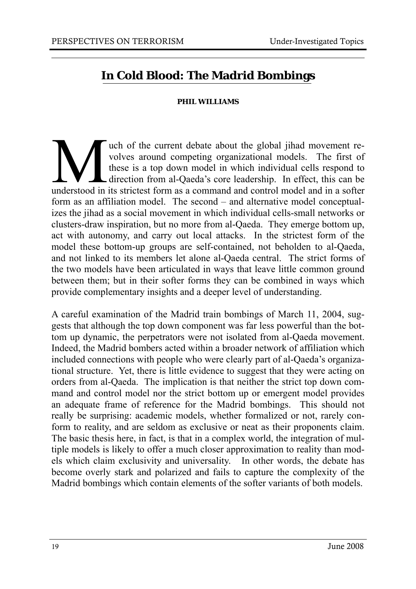### **In Cold Blood: The Madrid Bombings**

#### **PHIL WILLIAMS**

which of the current debate about the global jihad movement revolves around competing organizational models. The first of these is a top down model in which individual cells respond to direction from al-Qaeda's core leader volves around competing organizational models. The first of these is a top down model in which individual cells respond to direction from al-Qaeda's core leadership. In effect, this can be understood in its strictest form as a command and control model and in a softer form as an affiliation model. The second – and alternative model conceptualizes the jihad as a social movement in which individual cells-small networks or clusters-draw inspiration, but no more from al-Qaeda. They emerge bottom up, act with autonomy, and carry out local attacks. In the strictest form of the model these bottom-up groups are self-contained, not beholden to al-Qaeda, and not linked to its members let alone al-Qaeda central. The strict forms of the two models have been articulated in ways that leave little common ground between them; but in their softer forms they can be combined in ways which provide complementary insights and a deeper level of understanding.

A careful examination of the Madrid train bombings of March 11, 2004, suggests that although the top down component was far less powerful than the bottom up dynamic, the perpetrators were not isolated from al-Qaeda movement. Indeed, the Madrid bombers acted within a broader network of affiliation which included connections with people who were clearly part of al-Qaeda's organizational structure. Yet, there is little evidence to suggest that they were acting on orders from al-Qaeda. The implication is that neither the strict top down command and control model nor the strict bottom up or emergent model provides an adequate frame of reference for the Madrid bombings. This should not really be surprising: academic models, whether formalized or not, rarely conform to reality, and are seldom as exclusive or neat as their proponents claim. The basic thesis here, in fact, is that in a complex world, the integration of multiple models is likely to offer a much closer approximation to reality than models which claim exclusivity and universality. In other words, the debate has become overly stark and polarized and fails to capture the complexity of the Madrid bombings which contain elements of the softer variants of both models.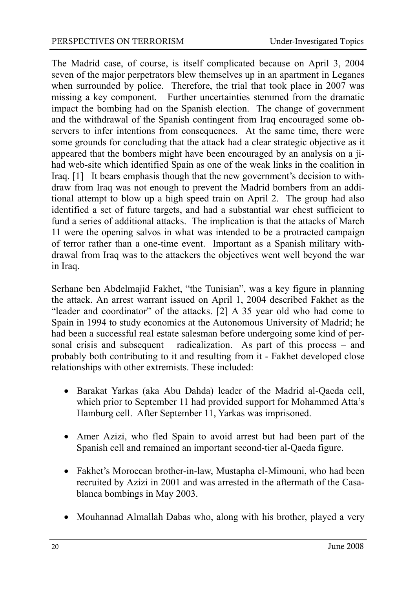The Madrid case, of course, is itself complicated because on April 3, 2004 seven of the major perpetrators blew themselves up in an apartment in Leganes when surrounded by police. Therefore, the trial that took place in 2007 was missing a key component. Further uncertainties stemmed from the dramatic impact the bombing had on the Spanish election. The change of government and the withdrawal of the Spanish contingent from Iraq encouraged some observers to infer intentions from consequences. At the same time, there were some grounds for concluding that the attack had a clear strategic objective as it appeared that the bombers might have been encouraged by an analysis on a jihad web-site which identified Spain as one of the weak links in the coalition in Iraq. [1] It bears emphasis though that the new government's decision to withdraw from Iraq was not enough to prevent the Madrid bombers from an additional attempt to blow up a high speed train on April 2. The group had also identified a set of future targets, and had a substantial war chest sufficient to fund a series of additional attacks. The implication is that the attacks of March 11 were the opening salvos in what was intended to be a protracted campaign of terror rather than a one-time event. Important as a Spanish military withdrawal from Iraq was to the attackers the objectives went well beyond the war in Iraq.

Serhane ben Abdelmajid Fakhet, "the Tunisian", was a key figure in planning the attack. An arrest warrant issued on April 1, 2004 described Fakhet as the "leader and coordinator" of the attacks. [2] A 35 year old who had come to Spain in 1994 to study economics at the Autonomous University of Madrid; he had been a successful real estate salesman before undergoing some kind of personal crisis and subsequent radicalization. As part of this process – and probably both contributing to it and resulting from it - Fakhet developed close relationships with other extremists. These included:

- Barakat Yarkas (aka Abu Dahda) leader of the Madrid al-Qaeda cell, which prior to September 11 had provided support for Mohammed Atta's Hamburg cell. After September 11, Yarkas was imprisoned.
- Amer Azizi, who fled Spain to avoid arrest but had been part of the Spanish cell and remained an important second-tier al-Qaeda figure.
- Fakhet's Moroccan brother-in-law, Mustapha el-Mimouni, who had been recruited by Azizi in 2001 and was arrested in the aftermath of the Casablanca bombings in May 2003.
- Mouhannad Almallah Dabas who, along with his brother, played a very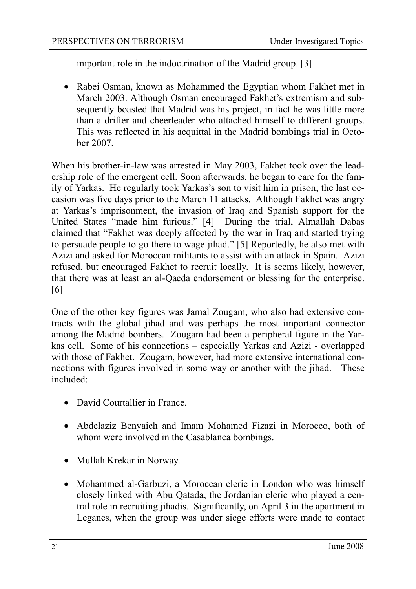important role in the indoctrination of the Madrid group. [3]

• Rabei Osman, known as Mohammed the Egyptian whom Fakhet met in March 2003. Although Osman encouraged Fakhet's extremism and subsequently boasted that Madrid was his project, in fact he was little more than a drifter and cheerleader who attached himself to different groups. This was reflected in his acquittal in the Madrid bombings trial in October 2007.

When his brother-in-law was arrested in May 2003, Fakhet took over the leadership role of the emergent cell. Soon afterwards, he began to care for the family of Yarkas. He regularly took Yarkas's son to visit him in prison; the last occasion was five days prior to the March 11 attacks. Although Fakhet was angry at Yarkas's imprisonment, the invasion of Iraq and Spanish support for the United States "made him furious." [4] During the trial, Almallah Dabas claimed that "Fakhet was deeply affected by the war in Iraq and started trying to persuade people to go there to wage jihad." [5] Reportedly, he also met with Azizi and asked for Moroccan militants to assist with an attack in Spain. Azizi refused, but encouraged Fakhet to recruit locally. It is seems likely, however, that there was at least an al-Qaeda endorsement or blessing for the enterprise. [6]

One of the other key figures was Jamal Zougam, who also had extensive contracts with the global jihad and was perhaps the most important connector among the Madrid bombers. Zougam had been a peripheral figure in the Yarkas cell. Some of his connections – especially Yarkas and Azizi - overlapped with those of Fakhet. Zougam, however, had more extensive international connections with figures involved in some way or another with the jihad. These included:

- David Courtallier in France
- Abdelaziz Benyaich and Imam Mohamed Fizazi in Morocco, both of whom were involved in the Casablanca bombings.
- Mullah Krekar in Norway.
- Mohammed al-Garbuzi, a Moroccan cleric in London who was himself closely linked with Abu Qatada, the Jordanian cleric who played a central role in recruiting jihadis. Significantly, on April 3 in the apartment in Leganes, when the group was under siege efforts were made to contact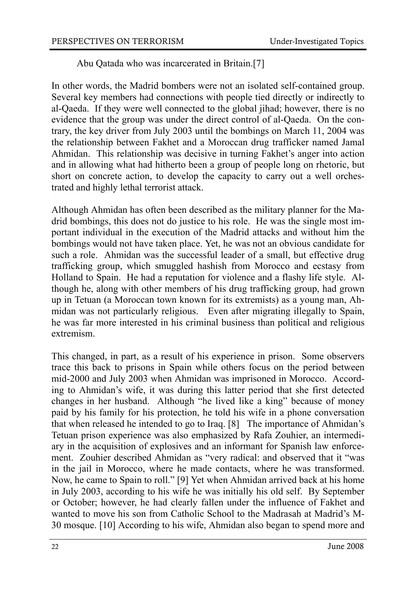Abu Qatada who was incarcerated in Britain.[7]

In other words, the Madrid bombers were not an isolated self-contained group. Several key members had connections with people tied directly or indirectly to al-Qaeda. If they were well connected to the global jihad; however, there is no evidence that the group was under the direct control of al-Qaeda. On the contrary, the key driver from July 2003 until the bombings on March 11, 2004 was the relationship between Fakhet and a Moroccan drug trafficker named Jamal Ahmidan. This relationship was decisive in turning Fakhet's anger into action and in allowing what had hitherto been a group of people long on rhetoric, but short on concrete action, to develop the capacity to carry out a well orchestrated and highly lethal terrorist attack.

Although Ahmidan has often been described as the military planner for the Madrid bombings, this does not do justice to his role. He was the single most important individual in the execution of the Madrid attacks and without him the bombings would not have taken place. Yet, he was not an obvious candidate for such a role. Ahmidan was the successful leader of a small, but effective drug trafficking group, which smuggled hashish from Morocco and ecstasy from Holland to Spain. He had a reputation for violence and a flashy life style. Although he, along with other members of his drug trafficking group, had grown up in Tetuan (a Moroccan town known for its extremists) as a young man, Ahmidan was not particularly religious. Even after migrating illegally to Spain, he was far more interested in his criminal business than political and religious extremism.

This changed, in part, as a result of his experience in prison. Some observers trace this back to prisons in Spain while others focus on the period between mid-2000 and July 2003 when Ahmidan was imprisoned in Morocco. According to Ahmidan's wife, it was during this latter period that she first detected changes in her husband. Although "he lived like a king" because of money paid by his family for his protection, he told his wife in a phone conversation that when released he intended to go to Iraq. [8] The importance of Ahmidan's Tetuan prison experience was also emphasized by Rafa Zouhier, an intermediary in the acquisition of explosives and an informant for Spanish law enforcement. Zouhier described Ahmidan as "very radical: and observed that it "was in the jail in Morocco, where he made contacts, where he was transformed. Now, he came to Spain to roll." [9] Yet when Ahmidan arrived back at his home in July 2003, according to his wife he was initially his old self. By September or October; however, he had clearly fallen under the influence of Fakhet and wanted to move his son from Catholic School to the Madrasah at Madrid's M-30 mosque. [10] According to his wife, Ahmidan also began to spend more and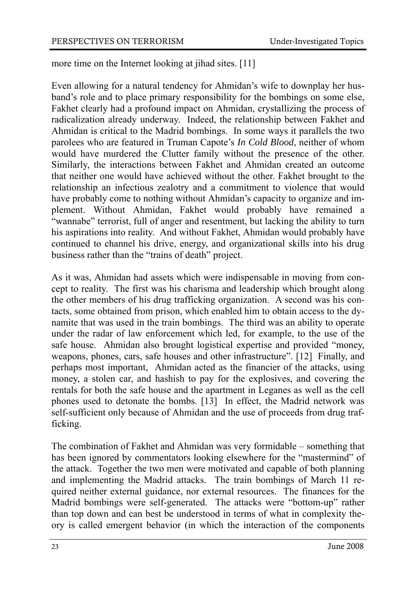more time on the Internet looking at jihad sites. [11]

Even allowing for a natural tendency for Ahmidan's wife to downplay her husband's role and to place primary responsibility for the bombings on some else, Fakhet clearly had a profound impact on Ahmidan, crystallizing the process of radicalization already underway. Indeed, the relationship between Fakhet and Ahmidan is critical to the Madrid bombings. In some ways it parallels the two parolees who are featured in Truman Capote's *In Cold Blood*, neither of whom would have murdered the Clutter family without the presence of the other. Similarly, the interactions between Fakhet and Ahmidan created an outcome that neither one would have achieved without the other. Fakhet brought to the relationship an infectious zealotry and a commitment to violence that would have probably come to nothing without Ahmidan's capacity to organize and implement. Without Ahmidan, Fakhet would probably have remained a "wannabe" terrorist, full of anger and resentment, but lacking the ability to turn his aspirations into reality. And without Fakhet, Ahmidan would probably have continued to channel his drive, energy, and organizational skills into his drug business rather than the "trains of death" project.

As it was, Ahmidan had assets which were indispensable in moving from concept to reality. The first was his charisma and leadership which brought along the other members of his drug trafficking organization. A second was his contacts, some obtained from prison, which enabled him to obtain access to the dynamite that was used in the train bombings. The third was an ability to operate under the radar of law enforcement which led, for example, to the use of the safe house. Ahmidan also brought logistical expertise and provided "money, weapons, phones, cars, safe houses and other infrastructure". [12] Finally, and perhaps most important, Ahmidan acted as the financier of the attacks, using money, a stolen car, and hashish to pay for the explosives, and covering the rentals for both the safe house and the apartment in Leganes as well as the cell phones used to detonate the bombs. [13] In effect, the Madrid network was self-sufficient only because of Ahmidan and the use of proceeds from drug trafficking.

The combination of Fakhet and Ahmidan was very formidable – something that has been ignored by commentators looking elsewhere for the "mastermind" of the attack. Together the two men were motivated and capable of both planning and implementing the Madrid attacks. The train bombings of March 11 required neither external guidance, nor external resources. The finances for the Madrid bombings were self-generated. The attacks were "bottom-up" rather than top down and can best be understood in terms of what in complexity theory is called emergent behavior (in which the interaction of the components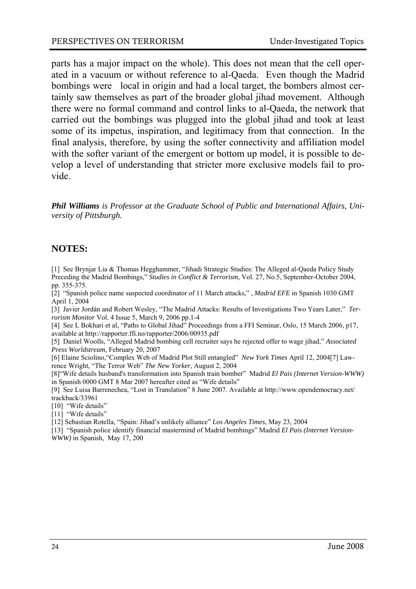parts has a major impact on the whole). This does not mean that the cell operated in a vacuum or without reference to al-Qaeda. Even though the Madrid bombings were local in origin and had a local target, the bombers almost certainly saw themselves as part of the broader global jihad movement. Although there were no formal command and control links to al-Qaeda, the network that carried out the bombings was plugged into the global jihad and took at least some of its impetus, inspiration, and legitimacy from that connection. In the final analysis, therefore, by using the softer connectivity and affiliation model with the softer variant of the emergent or bottom up model, it is possible to develop a level of understanding that stricter more exclusive models fail to provide.

*Phil Williams is Professor at the Graduate School of Public and International Affairs, University of Pittsburgh.* 

#### **NOTES:**

[1] See Brynjar Lia & Thomas Hegghammer, "Jihadi Strategic Studies: The Alleged al-Qaeda Policy Study Preceding the Madrid Bombings," *Studies in Conflict & Terrorism*, Vol. 27, No.5, September-October 2004, pp. 355-375.

[2] "Spanish police name suspected coordinator of 11 March attacks," , *Madrid EFE* in Spanish 1030 GMT April 1, 2004

[3] Javier Jordán and Robert Wesley, "The Madrid Attacks: Results of Investigations Two Years Later," *Terrorism Monitor* Vol. 4 Issue 5, March 9, 2006 pp.1-4

[4] See L Bokhari et al, "Paths to Global Jihad" Proceedings from a FFI Seminar, Oslo, 15 March 2006, p17, available at http://rapporter.ffi.no/rapporter/2006/00935.pdf

[5] Daniel Woolls, "Alleged Madrid bombing cell recruiter says he rejected offer to wage jihad," *Associated Press Worldstream,* February 20, 2007

[6] Elaine Sciolino,"Complex Web of Madrid Plot Still entangled" *New York Times* April 12, 2004[7] Lawrence Wright, "The Terror Web" *The New Yorker*, August 2, 2004

[8]"Wife details husband's transformation into Spanish train bomber" Madrid *El Pais (Internet Version-WWW)* in Spanish 0000 GMT 8 Mar 2007 hereafter cited as "Wife details"

[9] See Luisa Barrenechea, "Lost in Translation" 8 June 2007. Available at http://www.opendemocracy.net/ trackback/33961

[10] "Wife details"

[11] "Wife details"

[12] Sebastian Rotella, "Spain: Jihad's unlikely alliance" *Los Angeles Times*, May 23, 2004

[13] "Spanish police identify financial mastermind of Madrid bombings" Madrid *El Pais (Internet Version-WWW)* in Spanish, May 17, 200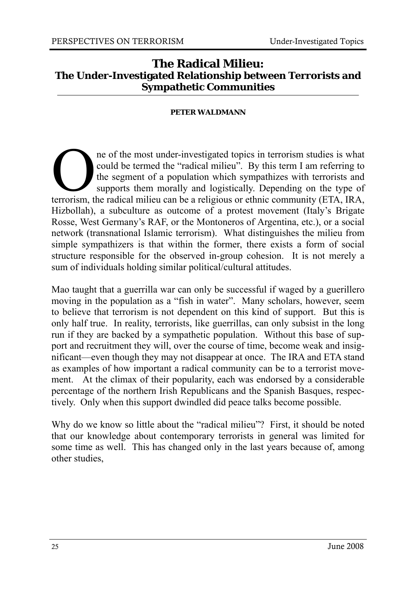#### **The Radical Milieu: The Under-Investigated Relationship between Terrorists and Sympathetic Communities**

#### **PETER WALDMANN**

ne of the most under-investigated topics in terrorism studies is what could be termed the "radical milieu". By this term I am referring to the segment of a population which sympathizes with terrorists and supports them mor could be termed the "radical milieu". By this term I am referring to the segment of a population which sympathizes with terrorists and supports them morally and logistically. Depending on the type of Hizbollah), a subculture as outcome of a protest movement (Italy's Brigate Rosse, West Germany's RAF, or the Montoneros of Argentina, etc.), or a social network (transnational Islamic terrorism). What distinguishes the milieu from simple sympathizers is that within the former, there exists a form of social structure responsible for the observed in-group cohesion. It is not merely a sum of individuals holding similar political/cultural attitudes.

Mao taught that a guerrilla war can only be successful if waged by a guerillero moving in the population as a "fish in water". Many scholars, however, seem to believe that terrorism is not dependent on this kind of support. But this is only half true. In reality, terrorists, like guerrillas, can only subsist in the long run if they are backed by a sympathetic population. Without this base of support and recruitment they will, over the course of time, become weak and insignificant—even though they may not disappear at once. The IRA and ETA stand as examples of how important a radical community can be to a terrorist movement. At the climax of their popularity, each was endorsed by a considerable percentage of the northern Irish Republicans and the Spanish Basques, respectively. Only when this support dwindled did peace talks become possible.

Why do we know so little about the "radical milieu"? First, it should be noted that our knowledge about contemporary terrorists in general was limited for some time as well. This has changed only in the last years because of, among other studies,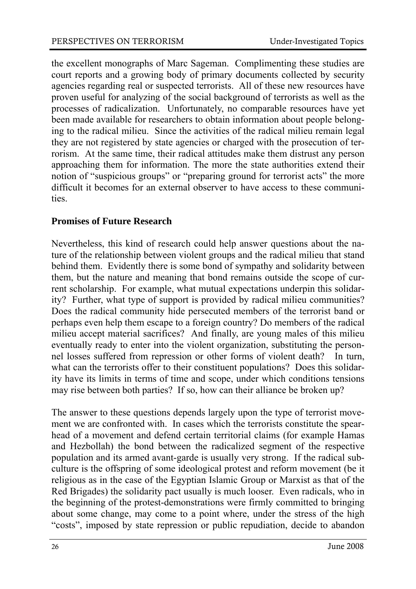the excellent monographs of Marc Sageman. Complimenting these studies are court reports and a growing body of primary documents collected by security agencies regarding real or suspected terrorists. All of these new resources have proven useful for analyzing of the social background of terrorists as well as the processes of radicalization. Unfortunately, no comparable resources have yet been made available for researchers to obtain information about people belonging to the radical milieu. Since the activities of the radical milieu remain legal they are not registered by state agencies or charged with the prosecution of terrorism. At the same time, their radical attitudes make them distrust any person approaching them for information. The more the state authorities extend their notion of "suspicious groups" or "preparing ground for terrorist acts" the more difficult it becomes for an external observer to have access to these communities.

#### **Promises of Future Research**

Nevertheless, this kind of research could help answer questions about the nature of the relationship between violent groups and the radical milieu that stand behind them. Evidently there is some bond of sympathy and solidarity between them, but the nature and meaning that bond remains outside the scope of current scholarship. For example, what mutual expectations underpin this solidarity? Further, what type of support is provided by radical milieu communities? Does the radical community hide persecuted members of the terrorist band or perhaps even help them escape to a foreign country? Do members of the radical milieu accept material sacrifices? And finally, are young males of this milieu eventually ready to enter into the violent organization, substituting the personnel losses suffered from repression or other forms of violent death? In turn, what can the terrorists offer to their constituent populations? Does this solidarity have its limits in terms of time and scope, under which conditions tensions may rise between both parties? If so, how can their alliance be broken up?

The answer to these questions depends largely upon the type of terrorist movement we are confronted with. In cases which the terrorists constitute the spearhead of a movement and defend certain territorial claims (for example Hamas and Hezbollah) the bond between the radicalized segment of the respective population and its armed avant-garde is usually very strong. If the radical subculture is the offspring of some ideological protest and reform movement (be it religious as in the case of the Egyptian Islamic Group or Marxist as that of the Red Brigades) the solidarity pact usually is much looser. Even radicals, who in the beginning of the protest-demonstrations were firmly committed to bringing about some change, may come to a point where, under the stress of the high "costs", imposed by state repression or public repudiation, decide to abandon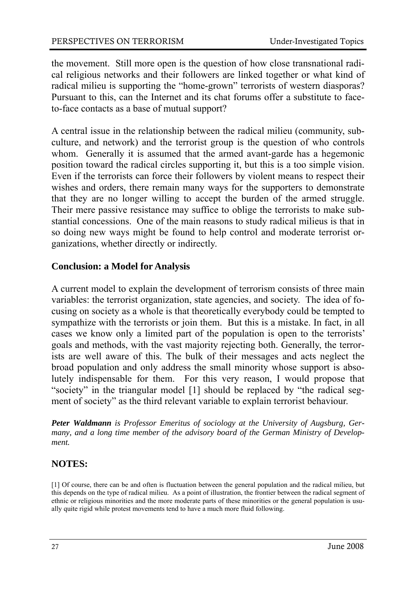the movement. Still more open is the question of how close transnational radical religious networks and their followers are linked together or what kind of radical milieu is supporting the "home-grown" terrorists of western diasporas? Pursuant to this, can the Internet and its chat forums offer a substitute to faceto-face contacts as a base of mutual support?

A central issue in the relationship between the radical milieu (community, subculture, and network) and the terrorist group is the question of who controls whom. Generally it is assumed that the armed avant-garde has a hegemonic position toward the radical circles supporting it, but this is a too simple vision. Even if the terrorists can force their followers by violent means to respect their wishes and orders, there remain many ways for the supporters to demonstrate that they are no longer willing to accept the burden of the armed struggle. Their mere passive resistance may suffice to oblige the terrorists to make substantial concessions. One of the main reasons to study radical milieus is that in so doing new ways might be found to help control and moderate terrorist organizations, whether directly or indirectly.

#### **Conclusion: a Model for Analysis**

A current model to explain the development of terrorism consists of three main variables: the terrorist organization, state agencies, and society. The idea of focusing on society as a whole is that theoretically everybody could be tempted to sympathize with the terrorists or join them. But this is a mistake. In fact, in all cases we know only a limited part of the population is open to the terrorists' goals and methods, with the vast majority rejecting both. Generally, the terrorists are well aware of this. The bulk of their messages and acts neglect the broad population and only address the small minority whose support is absolutely indispensable for them. For this very reason, I would propose that "society" in the triangular model [1] should be replaced by "the radical segment of society" as the third relevant variable to explain terrorist behaviour.

*Peter Waldmann is Professor Emeritus of sociology at the University of Augsburg, Germany, and a long time member of the advisory board of the German Ministry of Development.* 

#### **NOTES:**

[1] Of course, there can be and often is fluctuation between the general population and the radical milieu, but this depends on the type of radical milieu. As a point of illustration, the frontier between the radical segment of ethnic or religious minorities and the more moderate parts of these minorities or the general population is usually quite rigid while protest movements tend to have a much more fluid following.